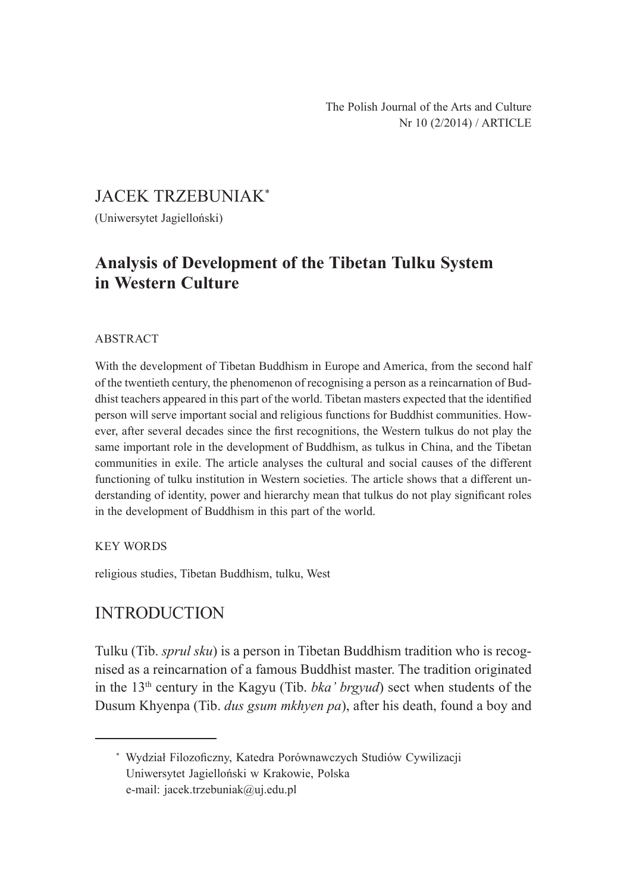# JACEK TRZEBUNIAK\*

(Uniwersytet Jagielloński)

# **Analysis of Development of the Tibetan Tulku System in Western Culture**

#### ABSTRACT

With the development of Tibetan Buddhism in Europe and America, from the second half of the twentieth century, the phenomenon of recognising a person as a reincarnation of Buddhist teachers appeared in this part of the world. Tibetan masters expected that the identified person will serve important social and religious functions for Buddhist communities. However, after several decades since the first recognitions, the Western tulkus do not play the same important role in the development of Buddhism, as tulkus in China, and the Tibetan communities in exile. The article analyses the cultural and social causes of the different functioning of tulku institution in Western societies. The article shows that a different understanding of identity, power and hierarchy mean that tulkus do not play significant roles in the development of Buddhism in this part of the world.

#### KEY WORDS

religious studies, Tibetan Buddhism, tulku, West

# INTRODUCTION

Tulku (Tib. *sprul sku*) is a person in Tibetan Buddhism tradition who is recognised as a reincarnation of a famous Buddhist master. The tradition originated in the 13th century in the Kagyu (Tib. *bka' brgyud*) sect when students of the Dusum Khyenpa (Tib. *dus gsum mkhyen pa*), after his death, found a boy and

<sup>\*</sup> Wydział Filozoficzny, Katedra Porównawczych Studiów Cywilizacji Uniwersytet Jagielloński w Krakowie, Polska e-mail: jacek.trzebuniak@uj.edu.pl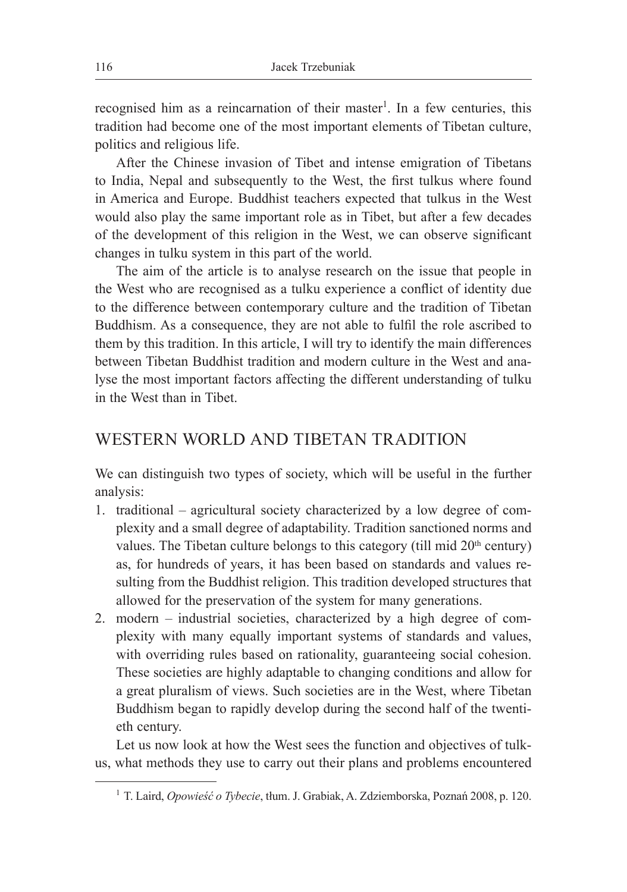recognised him as a reincarnation of their master<sup>1</sup>. In a few centuries, this tradition had become one of the most important elements of Tibetan culture, politics and religious life.

After the Chinese invasion of Tibet and intense emigration of Tibetans to India, Nepal and subsequently to the West, the first tulkus where found in America and Europe. Buddhist teachers expected that tulkus in the West would also play the same important role as in Tibet, but after a few decades of the development of this religion in the West, we can observe significant changes in tulku system in this part of the world.

The aim of the article is to analyse research on the issue that people in the West who are recognised as a tulku experience a conflict of identity due to the difference between contemporary culture and the tradition of Tibetan Buddhism. As a consequence, they are not able to fulfil the role ascribed to them by this tradition. In this article, I will try to identify the main differences between Tibetan Buddhist tradition and modern culture in the West and analyse the most important factors affecting the different understanding of tulku in the West than in Tibet.

## WESTERN WORLD AND TIBETAN TRADITION

We can distinguish two types of society, which will be useful in the further analysis:

- 1. traditional agricultural society characterized by a low degree of complexity and a small degree of adaptability. Tradition sanctioned norms and values. The Tibetan culture belongs to this category (till mid  $20<sup>th</sup>$  century) as, for hundreds of years, it has been based on standards and values resulting from the Buddhist religion. This tradition developed structures that allowed for the preservation of the system for many generations.
- 2. modern industrial societies, characterized by a high degree of complexity with many equally important systems of standards and values, with overriding rules based on rationality, guaranteeing social cohesion. These societies are highly adaptable to changing conditions and allow for a great pluralism of views. Such societies are in the West, where Tibetan Buddhism began to rapidly develop during the second half of the twentieth century.

Let us now look at how the West sees the function and objectives of tulkus, what methods they use to carry out their plans and problems encountered

<sup>1</sup> T. Laird, *Opowieść o Tybecie*, tłum. J. Grabiak, A. Zdziemborska, Poznań 2008, p. 120.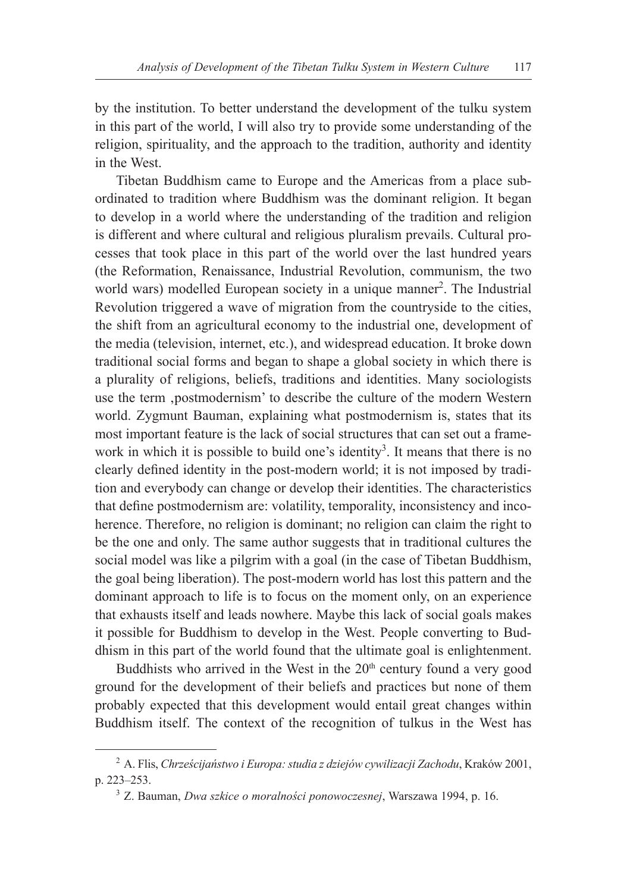by the institution. To better understand the development of the tulku system in this part of the world, I will also try to provide some understanding of the religion, spirituality, and the approach to the tradition, authority and identity in the West.

Tibetan Buddhism came to Europe and the Americas from a place subordinated to tradition where Buddhism was the dominant religion. It began to develop in a world where the understanding of the tradition and religion is different and where cultural and religious pluralism prevails. Cultural processes that took place in this part of the world over the last hundred years (the Reformation, Renaissance, Industrial Revolution, communism, the two world wars) modelled European society in a unique manner<sup>2</sup>. The Industrial Revolution triggered a wave of migration from the countryside to the cities, the shift from an agricultural economy to the industrial one, development of the media (television, internet, etc.), and widespread education. It broke down traditional social forms and began to shape a global society in which there is a plurality of religions, beliefs, traditions and identities. Many sociologists use the term 'postmodernism' to describe the culture of the modern Western world. Zygmunt Bauman, explaining what postmodernism is, states that its most important feature is the lack of social structures that can set out a framework in which it is possible to build one's identity<sup>3</sup>. It means that there is no clearly defined identity in the post-modern world; it is not imposed by tradition and everybody can change or develop their identities. The characteristics that define postmodernism are: volatility, temporality, inconsistency and incoherence. Therefore, no religion is dominant; no religion can claim the right to be the one and only. The same author suggests that in traditional cultures the social model was like a pilgrim with a goal (in the case of Tibetan Buddhism, the goal being liberation). The post-modern world has lost this pattern and the dominant approach to life is to focus on the moment only, on an experience that exhausts itself and leads nowhere. Maybe this lack of social goals makes it possible for Buddhism to develop in the West. People converting to Buddhism in this part of the world found that the ultimate goal is enlightenment.

Buddhists who arrived in the West in the 20<sup>th</sup> century found a very good ground for the development of their beliefs and practices but none of them probably expected that this development would entail great changes within Buddhism itself. The context of the recognition of tulkus in the West has

<sup>2</sup> A. Flis, *Chrześcijaństwo i Europa: studia z dziejów cywilizacji Zachodu*, Kraków 2001, p. 223–253.

<sup>3</sup> Z. Bauman, *Dwa szkice o moralności ponowoczesnej*, Warszawa 1994, p. 16.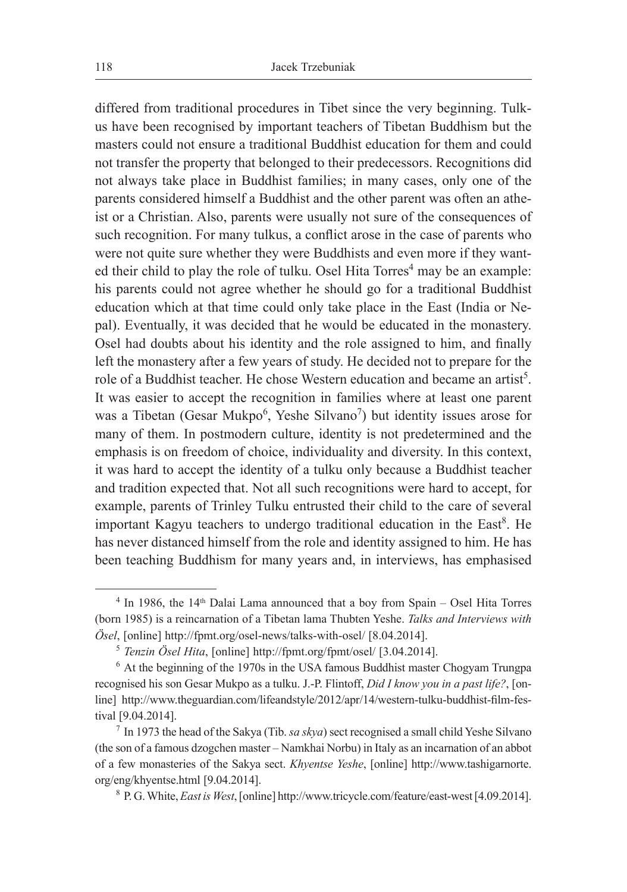differed from traditional procedures in Tibet since the very beginning. Tulkus have been recognised by important teachers of Tibetan Buddhism but the masters could not ensure a traditional Buddhist education for them and could not transfer the property that belonged to their predecessors. Recognitions did not always take place in Buddhist families; in many cases, only one of the parents considered himself a Buddhist and the other parent was often an atheist or a Christian. Also, parents were usually not sure of the consequences of such recognition. For many tulkus, a conflict arose in the case of parents who were not quite sure whether they were Buddhists and even more if they wanted their child to play the role of tulku. Osel Hita Torres<sup>4</sup> may be an example: his parents could not agree whether he should go for a traditional Buddhist education which at that time could only take place in the East (India or Nepal). Eventually, it was decided that he would be educated in the monastery. Osel had doubts about his identity and the role assigned to him, and finally left the monastery after a few years of study. He decided not to prepare for the role of a Buddhist teacher. He chose Western education and became an artist<sup>5</sup>. It was easier to accept the recognition in families where at least one parent was a Tibetan (Gesar Mukpo<sup>6</sup>, Yeshe Silvano<sup>7</sup>) but identity issues arose for many of them. In postmodern culture, identity is not predetermined and the emphasis is on freedom of choice, individuality and diversity. In this context, it was hard to accept the identity of a tulku only because a Buddhist teacher and tradition expected that. Not all such recognitions were hard to accept, for example, parents of Trinley Tulku entrusted their child to the care of several important Kagyu teachers to undergo traditional education in the East<sup>8</sup>. He has never distanced himself from the role and identity assigned to him. He has been teaching Buddhism for many years and, in interviews, has emphasised

 $4$  In 1986, the 14<sup>th</sup> Dalai Lama announced that a boy from Spain – Osel Hita Torres (born 1985) is a reincarnation of a Tibetan lama Thubten Yeshe. *Talks and Interviews with Ösel*, [online] http://fpmt.org/osel-news/talks-with-osel/ [8.04.2014].

<sup>&</sup>lt;sup>5</sup> *Tenzin Ösel Hita*, [online] http://fpmt.org/fpmt/osel/ [3.04.2014].<br><sup>6</sup> At the beginning of the 1970s in the USA famous Buddhist master Chogyam Trungpa recognised his son Gesar Mukpo as a tulku. J.-P. Flintoff, *Did I know you in a past life?*, [online] http://www.theguardian.com/lifeandstyle/2012/apr/14/western-tulku-buddhist-film-festival [9.04.2014].

<sup>7</sup> In 1973 the head of the Sakya (Tib. *sa skya*) sect recognised a small child Yeshe Silvano (the son of a famous dzogchen master – Namkhai Norbu) in Italy as an incarnation of an abbot of a few monasteries of the Sakya sect. *Khyentse Yeshe*, [online] http://www.tashigarnorte. org/eng/khyentse.html [9.04.2014].

<sup>8</sup> P. G. White, *East is West*, [online] http://www.tricycle.com/feature/east-west [4.09.2014].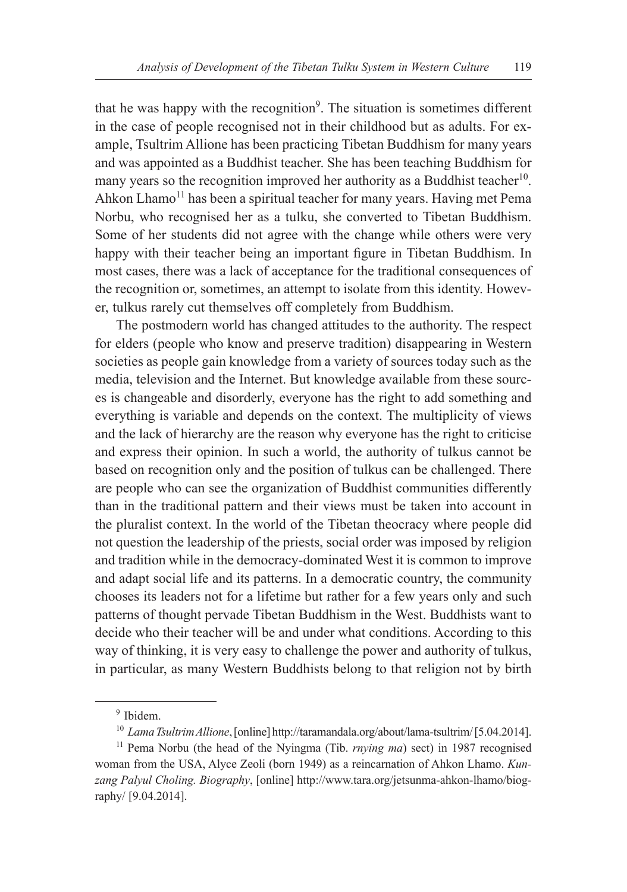that he was happy with the recognition<sup>9</sup>. The situation is sometimes different in the case of people recognised not in their childhood but as adults. For example, Tsultrim Allione has been practicing Tibetan Buddhism for many years and was appointed as a Buddhist teacher. She has been teaching Buddhism for many years so the recognition improved her authority as a Buddhist teacher<sup>10</sup>. Ahkon Lhamo<sup>11</sup> has been a spiritual teacher for many years. Having met Pema Norbu, who recognised her as a tulku, she converted to Tibetan Buddhism. Some of her students did not agree with the change while others were very happy with their teacher being an important figure in Tibetan Buddhism. In most cases, there was a lack of acceptance for the traditional consequences of the recognition or, sometimes, an attempt to isolate from this identity. However, tulkus rarely cut themselves off completely from Buddhism.

The postmodern world has changed attitudes to the authority. The respect for elders (people who know and preserve tradition) disappearing in Western societies as people gain knowledge from a variety of sources today such as the media, television and the Internet. But knowledge available from these sources is changeable and disorderly, everyone has the right to add something and everything is variable and depends on the context. The multiplicity of views and the lack of hierarchy are the reason why everyone has the right to criticise and express their opinion. In such a world, the authority of tulkus cannot be based on recognition only and the position of tulkus can be challenged. There are people who can see the organization of Buddhist communities differently than in the traditional pattern and their views must be taken into account in the pluralist context. In the world of the Tibetan theocracy where people did not question the leadership of the priests, social order was imposed by religion and tradition while in the democracy-dominated West it is common to improve and adapt social life and its patterns. In a democratic country, the community chooses its leaders not for a lifetime but rather for a few years only and such patterns of thought pervade Tibetan Buddhism in the West. Buddhists want to decide who their teacher will be and under what conditions. According to this way of thinking, it is very easy to challenge the power and authority of tulkus, in particular, as many Western Buddhists belong to that religion not by birth

<sup>9</sup> Ibidem.

<sup>10</sup> *Lama Tsultrim Allione*, [online] http://taramandala.org/about/lama-tsultrim/ [5.04.2014].

<sup>11</sup> Pema Norbu (the head of the Nyingma (Tib. *rnying ma*) sect) in 1987 recognised woman from the USA, Alyce Zeoli (born 1949) as a reincarnation of Ahkon Lhamo. *Kunzang Palyul Choling. Biography*, [online] http://www.tara.org/jetsunma-ahkon-lhamo/biography/ [9.04.2014].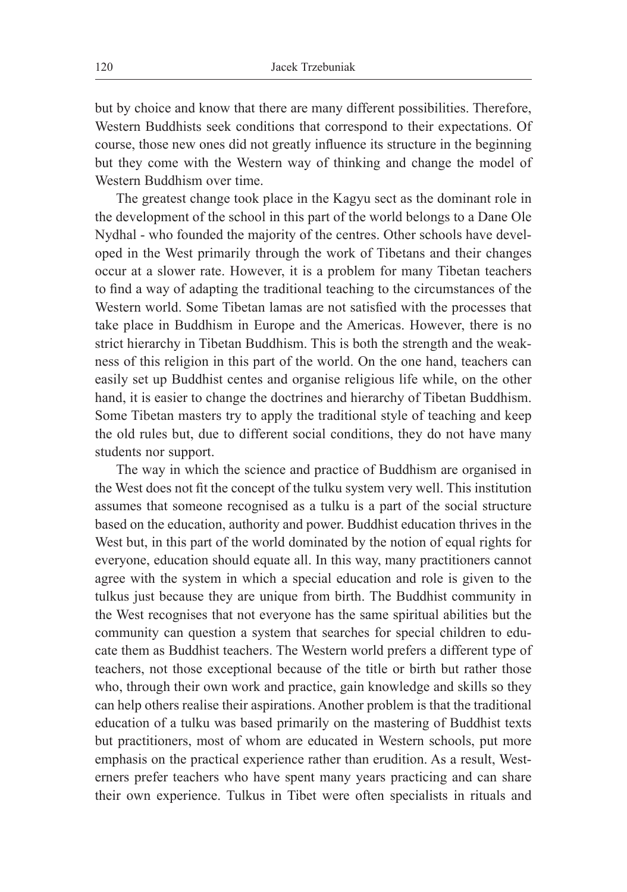but by choice and know that there are many different possibilities. Therefore, Western Buddhists seek conditions that correspond to their expectations. Of course, those new ones did not greatly influence its structure in the beginning but they come with the Western way of thinking and change the model of Western Buddhism over time.

The greatest change took place in the Kagyu sect as the dominant role in the development of the school in this part of the world belongs to a Dane Ole Nydhal - who founded the majority of the centres. Other schools have developed in the West primarily through the work of Tibetans and their changes occur at a slower rate. However, it is a problem for many Tibetan teachers to find a way of adapting the traditional teaching to the circumstances of the Western world. Some Tibetan lamas are not satisfied with the processes that take place in Buddhism in Europe and the Americas. However, there is no strict hierarchy in Tibetan Buddhism. This is both the strength and the weakness of this religion in this part of the world. On the one hand, teachers can easily set up Buddhist centes and organise religious life while, on the other hand, it is easier to change the doctrines and hierarchy of Tibetan Buddhism. Some Tibetan masters try to apply the traditional style of teaching and keep the old rules but, due to different social conditions, they do not have many students nor support.

The way in which the science and practice of Buddhism are organised in the West does not fit the concept of the tulku system very well. This institution assumes that someone recognised as a tulku is a part of the social structure based on the education, authority and power. Buddhist education thrives in the West but, in this part of the world dominated by the notion of equal rights for everyone, education should equate all. In this way, many practitioners cannot agree with the system in which a special education and role is given to the tulkus just because they are unique from birth. The Buddhist community in the West recognises that not everyone has the same spiritual abilities but the community can question a system that searches for special children to educate them as Buddhist teachers. The Western world prefers a different type of teachers, not those exceptional because of the title or birth but rather those who, through their own work and practice, gain knowledge and skills so they can help others realise their aspirations. Another problem is that the traditional education of a tulku was based primarily on the mastering of Buddhist texts but practitioners, most of whom are educated in Western schools, put more emphasis on the practical experience rather than erudition. As a result, Westerners prefer teachers who have spent many years practicing and can share their own experience. Tulkus in Tibet were often specialists in rituals and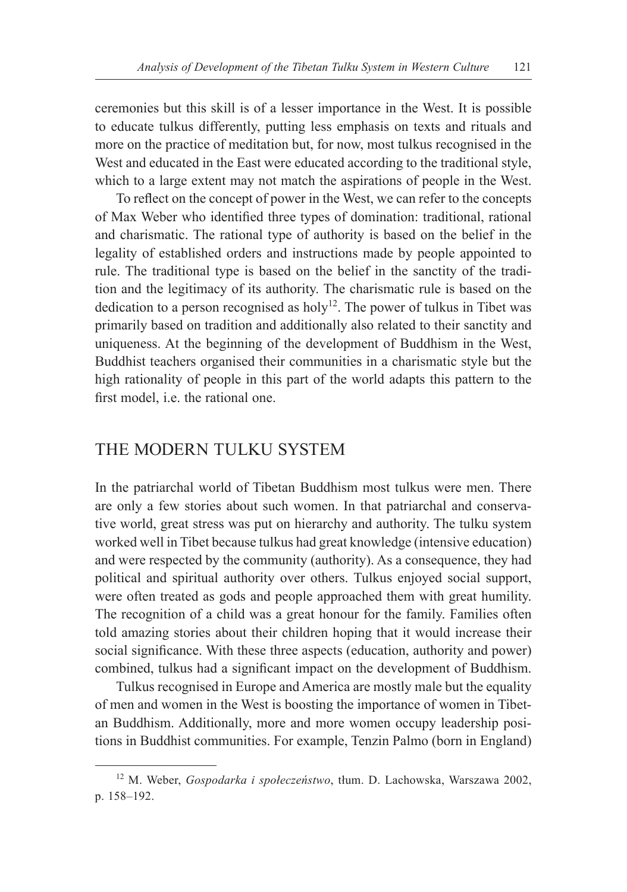ceremonies but this skill is of a lesser importance in the West. It is possible to educate tulkus differently, putting less emphasis on texts and rituals and more on the practice of meditation but, for now, most tulkus recognised in the West and educated in the East were educated according to the traditional style, which to a large extent may not match the aspirations of people in the West.

To reflect on the concept of power in the West, we can refer to the concepts of Max Weber who identified three types of domination: traditional, rational and charismatic. The rational type of authority is based on the belief in the legality of established orders and instructions made by people appointed to rule. The traditional type is based on the belief in the sanctity of the tradition and the legitimacy of its authority. The charismatic rule is based on the dedication to a person recognised as holy<sup>12</sup>. The power of tulkus in Tibet was primarily based on tradition and additionally also related to their sanctity and uniqueness. At the beginning of the development of Buddhism in the West, Buddhist teachers organised their communities in a charismatic style but the high rationality of people in this part of the world adapts this pattern to the first model, i.e. the rational one.

### THE MODERN TULKU SYSTEM

In the patriarchal world of Tibetan Buddhism most tulkus were men. There are only a few stories about such women. In that patriarchal and conservative world, great stress was put on hierarchy and authority. The tulku system worked well in Tibet because tulkus had great knowledge (intensive education) and were respected by the community (authority). As a consequence, they had political and spiritual authority over others. Tulkus enjoyed social support, were often treated as gods and people approached them with great humility. The recognition of a child was a great honour for the family. Families often told amazing stories about their children hoping that it would increase their social significance. With these three aspects (education, authority and power) combined, tulkus had a significant impact on the development of Buddhism.

Tulkus recognised in Europe and America are mostly male but the equality of men and women in the West is boosting the importance of women in Tibetan Buddhism. Additionally, more and more women occupy leadership positions in Buddhist communities. For example, Tenzin Palmo (born in England)

<sup>12</sup> M. Weber, *Gospodarka i społeczeństwo*, tłum. D. Lachowska, Warszawa 2002, p. 158–192.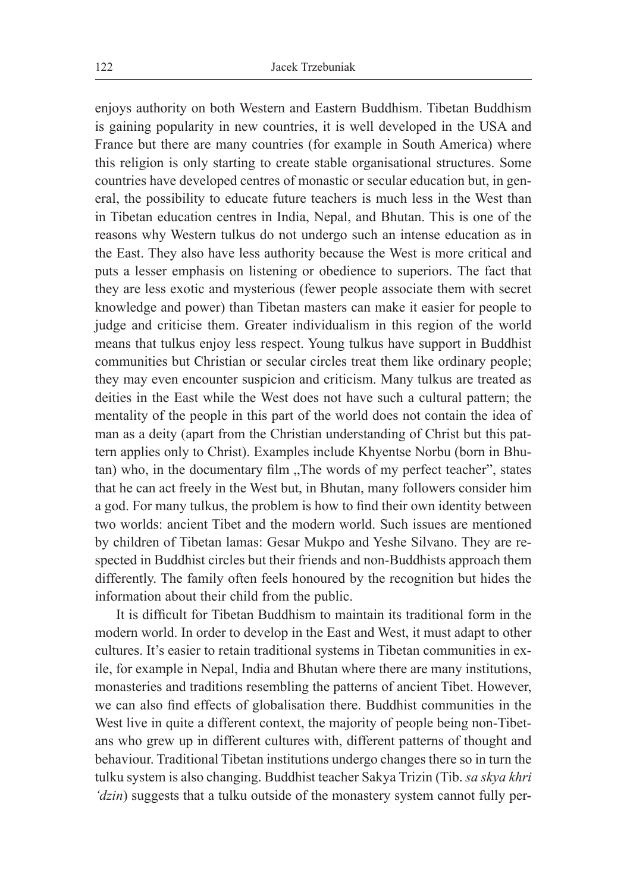enjoys authority on both Western and Eastern Buddhism. Tibetan Buddhism is gaining popularity in new countries, it is well developed in the USA and France but there are many countries (for example in South America) where this religion is only starting to create stable organisational structures. Some countries have developed centres of monastic or secular education but, in general, the possibility to educate future teachers is much less in the West than in Tibetan education centres in India, Nepal, and Bhutan. This is one of the reasons why Western tulkus do not undergo such an intense education as in the East. They also have less authority because the West is more critical and puts a lesser emphasis on listening or obedience to superiors. The fact that they are less exotic and mysterious (fewer people associate them with secret knowledge and power) than Tibetan masters can make it easier for people to judge and criticise them. Greater individualism in this region of the world means that tulkus enjoy less respect. Young tulkus have support in Buddhist communities but Christian or secular circles treat them like ordinary people; they may even encounter suspicion and criticism. Many tulkus are treated as deities in the East while the West does not have such a cultural pattern; the mentality of the people in this part of the world does not contain the idea of man as a deity (apart from the Christian understanding of Christ but this pattern applies only to Christ). Examples include Khyentse Norbu (born in Bhutan) who, in the documentary film "The words of my perfect teacher", states that he can act freely in the West but, in Bhutan, many followers consider him a god. For many tulkus, the problem is how to find their own identity between two worlds: ancient Tibet and the modern world. Such issues are mentioned by children of Tibetan lamas: Gesar Mukpo and Yeshe Silvano. They are respected in Buddhist circles but their friends and non-Buddhists approach them differently. The family often feels honoured by the recognition but hides the information about their child from the public.

It is difficult for Tibetan Buddhism to maintain its traditional form in the modern world. In order to develop in the East and West, it must adapt to other cultures. It's easier to retain traditional systems in Tibetan communities in exile, for example in Nepal, India and Bhutan where there are many institutions, monasteries and traditions resembling the patterns of ancient Tibet. However, we can also find effects of globalisation there. Buddhist communities in the West live in quite a different context, the majority of people being non-Tibetans who grew up in different cultures with, different patterns of thought and behaviour. Traditional Tibetan institutions undergo changes there so in turn the tulku system is also changing. Buddhist teacher Sakya Trizin (Tib. *sa skya khri 'dzin*) suggests that a tulku outside of the monastery system cannot fully per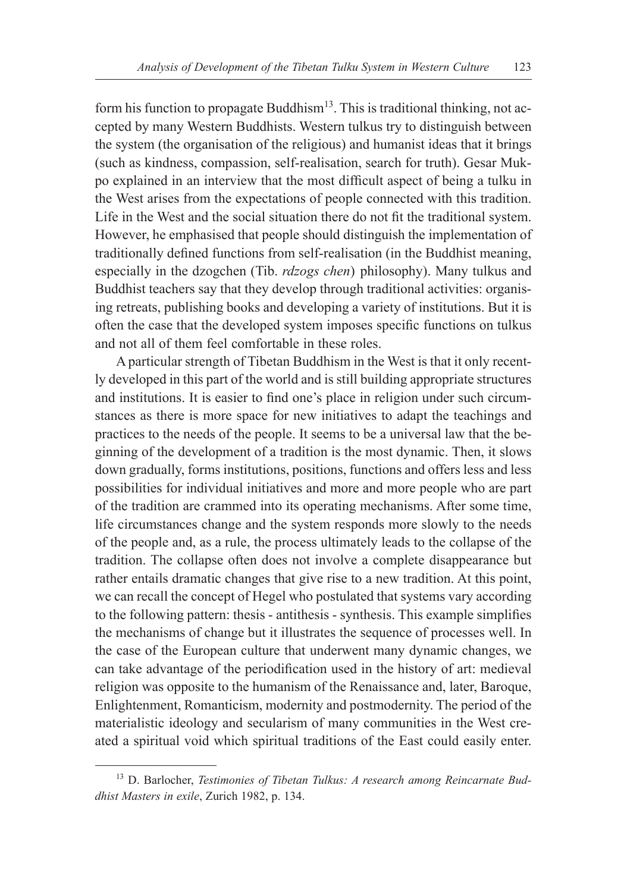form his function to propagate Buddhism<sup>13</sup>. This is traditional thinking, not accepted by many Western Buddhists. Western tulkus try to distinguish between the system (the organisation of the religious) and humanist ideas that it brings (such as kindness, compassion, self-realisation, search for truth). Gesar Mukpo explained in an interview that the most difficult aspect of being a tulku in the West arises from the expectations of people connected with this tradition. Life in the West and the social situation there do not fit the traditional system. However, he emphasised that people should distinguish the implementation of traditionally defined functions from self-realisation (in the Buddhist meaning, especially in the dzogchen (Tib. *rdzogs chen*) philosophy). Many tulkus and Buddhist teachers say that they develop through traditional activities: organising retreats, publishing books and developing a variety of institutions. But it is often the case that the developed system imposes specific functions on tulkus and not all of them feel comfortable in these roles.

A particular strength of Tibetan Buddhism in the West is that it only recently developed in this part of the world and is still building appropriate structures and institutions. It is easier to find one's place in religion under such circumstances as there is more space for new initiatives to adapt the teachings and practices to the needs of the people. It seems to be a universal law that the beginning of the development of a tradition is the most dynamic. Then, it slows down gradually, forms institutions, positions, functions and offers less and less possibilities for individual initiatives and more and more people who are part of the tradition are crammed into its operating mechanisms. After some time, life circumstances change and the system responds more slowly to the needs of the people and, as a rule, the process ultimately leads to the collapse of the tradition. The collapse often does not involve a complete disappearance but rather entails dramatic changes that give rise to a new tradition. At this point, we can recall the concept of Hegel who postulated that systems vary according to the following pattern: thesis - antithesis - synthesis. This example simplifies the mechanisms of change but it illustrates the sequence of processes well. In the case of the European culture that underwent many dynamic changes, we can take advantage of the periodification used in the history of art: medieval religion was opposite to the humanism of the Renaissance and, later, Baroque, Enlightenment, Romanticism, modernity and postmodernity. The period of the materialistic ideology and secularism of many communities in the West created a spiritual void which spiritual traditions of the East could easily enter.

<sup>13</sup> D. Barlocher, *Testimonies of Tibetan Tulkus: A research among Reincarnate Buddhist Masters in exile*, Zurich 1982, p. 134.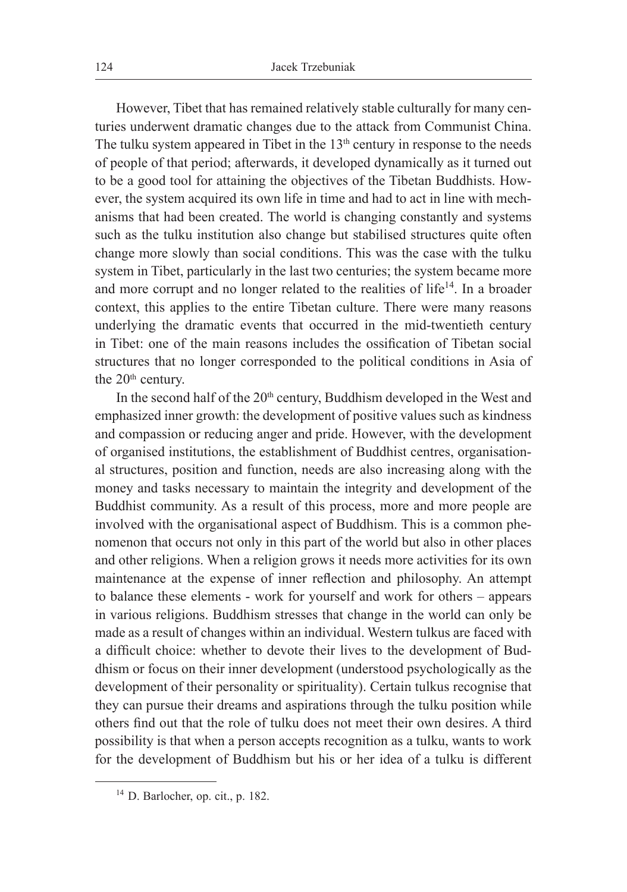However, Tibet that has remained relatively stable culturally for many centuries underwent dramatic changes due to the attack from Communist China. The tulku system appeared in Tibet in the  $13<sup>th</sup>$  century in response to the needs of people of that period; afterwards, it developed dynamically as it turned out to be a good tool for attaining the objectives of the Tibetan Buddhists. However, the system acquired its own life in time and had to act in line with mechanisms that had been created. The world is changing constantly and systems such as the tulku institution also change but stabilised structures quite often change more slowly than social conditions. This was the case with the tulku system in Tibet, particularly in the last two centuries; the system became more and more corrupt and no longer related to the realities of life<sup>14</sup>. In a broader context, this applies to the entire Tibetan culture. There were many reasons underlying the dramatic events that occurred in the mid-twentieth century in Tibet: one of the main reasons includes the ossification of Tibetan social structures that no longer corresponded to the political conditions in Asia of the 20<sup>th</sup> century.

In the second half of the 20<sup>th</sup> century, Buddhism developed in the West and emphasized inner growth: the development of positive values such as kindness and compassion or reducing anger and pride. However, with the development of organised institutions, the establishment of Buddhist centres, organisational structures, position and function, needs are also increasing along with the money and tasks necessary to maintain the integrity and development of the Buddhist community. As a result of this process, more and more people are involved with the organisational aspect of Buddhism. This is a common phenomenon that occurs not only in this part of the world but also in other places and other religions. When a religion grows it needs more activities for its own maintenance at the expense of inner reflection and philosophy. An attempt to balance these elements - work for yourself and work for others – appears in various religions. Buddhism stresses that change in the world can only be made as a result of changes within an individual. Western tulkus are faced with a difficult choice: whether to devote their lives to the development of Buddhism or focus on their inner development (understood psychologically as the development of their personality or spirituality). Certain tulkus recognise that they can pursue their dreams and aspirations through the tulku position while others find out that the role of tulku does not meet their own desires. A third possibility is that when a person accepts recognition as a tulku, wants to work for the development of Buddhism but his or her idea of a tulku is different

 $14$  D. Barlocher, op. cit., p. 182.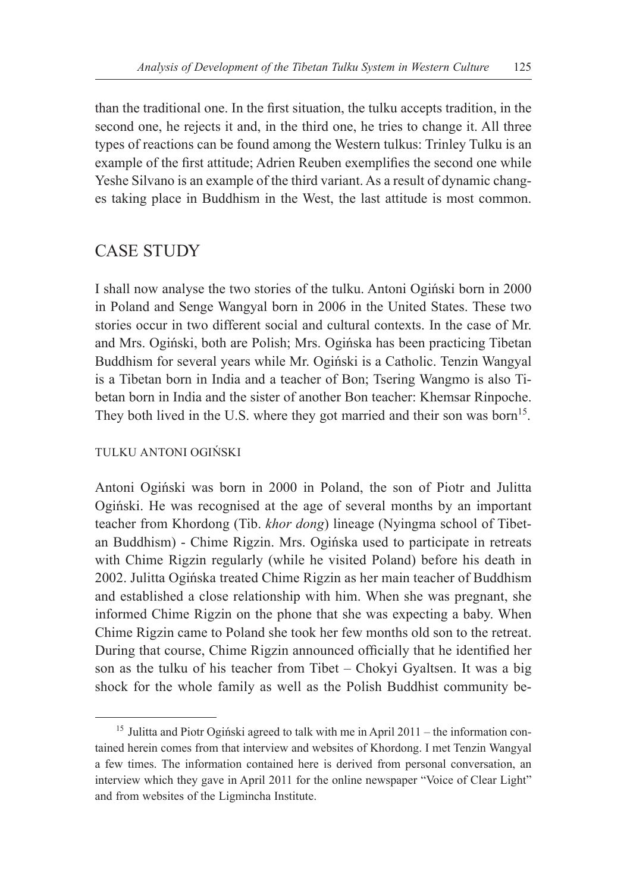than the traditional one. In the first situation, the tulku accepts tradition, in the second one, he rejects it and, in the third one, he tries to change it. All three types of reactions can be found among the Western tulkus: Trinley Tulku is an example of the first attitude; Adrien Reuben exemplifies the second one while Yeshe Silvano is an example of the third variant. As a result of dynamic changes taking place in Buddhism in the West, the last attitude is most common.

### CASE STUDY

I shall now analyse the two stories of the tulku. Antoni Ogiński born in 2000 in Poland and Senge Wangyal born in 2006 in the United States. These two stories occur in two different social and cultural contexts. In the case of Mr. and Mrs. Ogiński, both are Polish; Mrs. Ogińska has been practicing Tibetan Buddhism for several years while Mr. Ogiński is a Catholic. Tenzin Wangyal is a Tibetan born in India and a teacher of Bon; Tsering Wangmo is also Tibetan born in India and the sister of another Bon teacher: Khemsar Rinpoche. They both lived in the U.S. where they got married and their son was born<sup>15</sup>.

#### TULKU ANTONI OGIŃSKI

Antoni Ogiński was born in 2000 in Poland, the son of Piotr and Julitta Ogiński. He was recognised at the age of several months by an important teacher from Khordong (Tib. *khor dong*) lineage (Nyingma school of Tibetan Buddhism) - Chime Rigzin. Mrs. Ogińska used to participate in retreats with Chime Rigzin regularly (while he visited Poland) before his death in 2002. Julitta Ogińska treated Chime Rigzin as her main teacher of Buddhism and established a close relationship with him. When she was pregnant, she informed Chime Rigzin on the phone that she was expecting a baby. When Chime Rigzin came to Poland she took her few months old son to the retreat. During that course, Chime Rigzin announced officially that he identified her son as the tulku of his teacher from Tibet – Chokyi Gyaltsen. It was a big shock for the whole family as well as the Polish Buddhist community be-

<sup>&</sup>lt;sup>15</sup> Julitta and Piotr Ogiński agreed to talk with me in April 2011 – the information contained herein comes from that interview and websites of Khordong. I met Tenzin Wangyal a few times. The information contained here is derived from personal conversation, an interview which they gave in April 2011 for the online newspaper "Voice of Clear Light" and from websites of the Ligmincha Institute.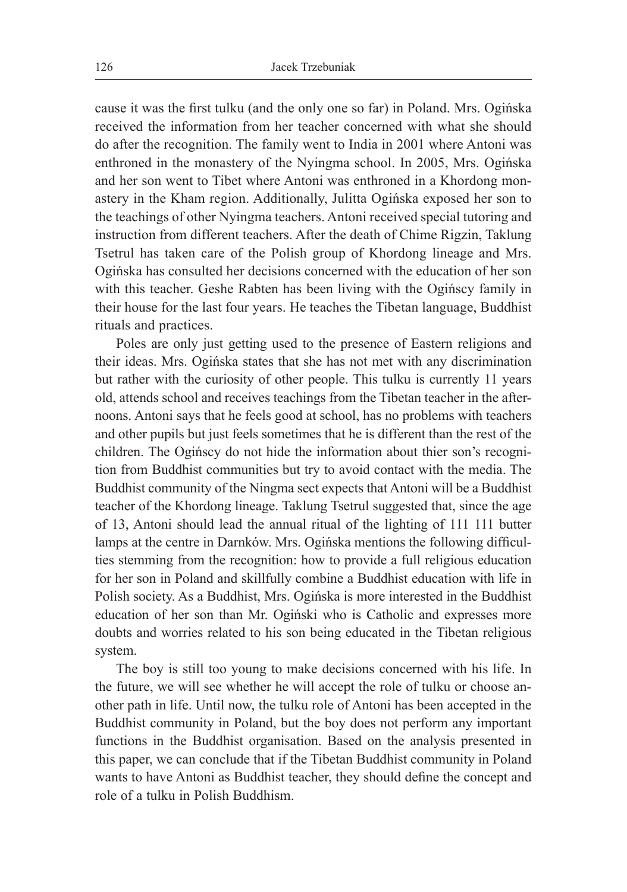cause it was the first tulku (and the only one so far) in Poland. Mrs. Ogińska received the information from her teacher concerned with what she should do after the recognition. The family went to India in 2001 where Antoni was enthroned in the monastery of the Nyingma school. In 2005, Mrs. Ogińska and her son went to Tibet where Antoni was enthroned in a Khordong monastery in the Kham region. Additionally, Julitta Ogińska exposed her son to the teachings of other Nyingma teachers. Antoni received special tutoring and instruction from different teachers. After the death of Chime Rigzin, Taklung Tsetrul has taken care of the Polish group of Khordong lineage and Mrs. Ogińska has consulted her decisions concerned with the education of her son with this teacher. Geshe Rabten has been living with the Ogińscy family in their house for the last four years. He teaches the Tibetan language, Buddhist rituals and practices.

Poles are only just getting used to the presence of Eastern religions and their ideas. Mrs. Ogińska states that she has not met with any discrimination but rather with the curiosity of other people. This tulku is currently 11 years old, attends school and receives teachings from the Tibetan teacher in the afternoons. Antoni says that he feels good at school, has no problems with teachers and other pupils but just feels sometimes that he is different than the rest of the children. The Ogińscy do not hide the information about thier son's recognition from Buddhist communities but try to avoid contact with the media. The Buddhist community of the Ningma sect expects that Antoni will be a Buddhist teacher of the Khordong lineage. Taklung Tsetrul suggested that, since the age of 13, Antoni should lead the annual ritual of the lighting of 111 111 butter lamps at the centre in Darnków. Mrs. Ogińska mentions the following difficulties stemming from the recognition: how to provide a full religious education for her son in Poland and skillfully combine a Buddhist education with life in Polish society. As a Buddhist, Mrs. Ogińska is more interested in the Buddhist education of her son than Mr. Ogiński who is Catholic and expresses more doubts and worries related to his son being educated in the Tibetan religious system.

The boy is still too young to make decisions concerned with his life. In the future, we will see whether he will accept the role of tulku or choose another path in life. Until now, the tulku role of Antoni has been accepted in the Buddhist community in Poland, but the boy does not perform any important functions in the Buddhist organisation. Based on the analysis presented in this paper, we can conclude that if the Tibetan Buddhist community in Poland wants to have Antoni as Buddhist teacher, they should define the concept and role of a tulku in Polish Buddhism.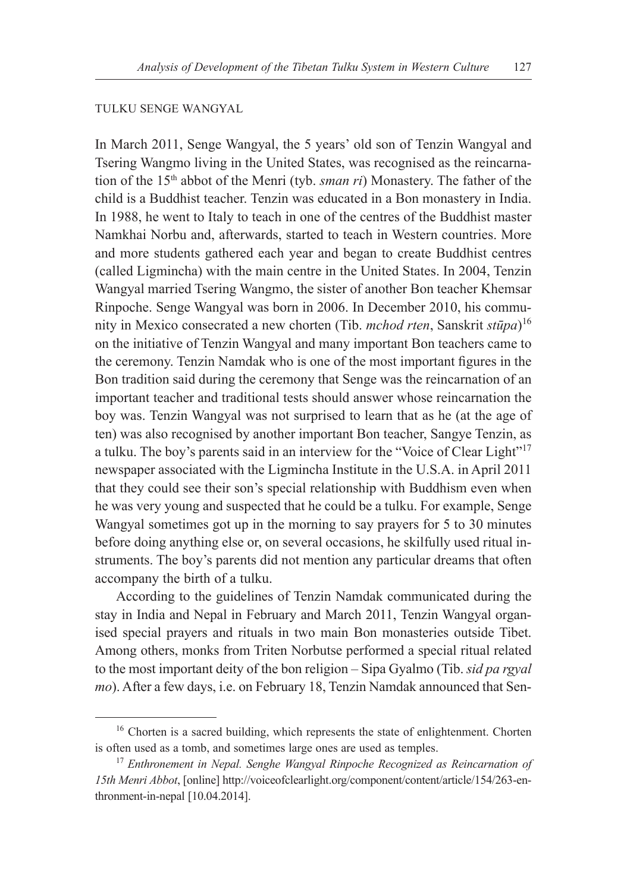#### TULKU SENGE WANGYAL

In March 2011, Senge Wangyal, the 5 years' old son of Tenzin Wangyal and Tsering Wangmo living in the United States, was recognised as the reincarnation of the 15th abbot of the Menri (tyb. *sman ri*) Monastery. The father of the child is a Buddhist teacher. Tenzin was educated in a Bon monastery in India. In 1988, he went to Italy to teach in one of the centres of the Buddhist master Namkhai Norbu and, afterwards, started to teach in Western countries. More and more students gathered each year and began to create Buddhist centres (called Ligmincha) with the main centre in the United States. In 2004, Tenzin Wangyal married Tsering Wangmo, the sister of another Bon teacher Khemsar Rinpoche. Senge Wangyal was born in 2006. In December 2010, his community in Mexico consecrated a new chorten (Tib. *mchod rten*, Sanskrit *stūpa*) 16 on the initiative of Tenzin Wangyal and many important Bon teachers came to the ceremony. Tenzin Namdak who is one of the most important figures in the Bon tradition said during the ceremony that Senge was the reincarnation of an important teacher and traditional tests should answer whose reincarnation the boy was. Tenzin Wangyal was not surprised to learn that as he (at the age of ten) was also recognised by another important Bon teacher, Sangye Tenzin, as a tulku. The boy's parents said in an interview for the "Voice of Clear Light"<sup>17</sup> newspaper associated with the Ligmincha Institute in the U.S.A. in April 2011 that they could see their son's special relationship with Buddhism even when he was very young and suspected that he could be a tulku. For example, Senge Wangyal sometimes got up in the morning to say prayers for 5 to 30 minutes before doing anything else or, on several occasions, he skilfully used ritual instruments. The boy's parents did not mention any particular dreams that often accompany the birth of a tulku.

According to the guidelines of Tenzin Namdak communicated during the stay in India and Nepal in February and March 2011, Tenzin Wangyal organised special prayers and rituals in two main Bon monasteries outside Tibet. Among others, monks from Triten Norbutse performed a special ritual related to the most important deity of the bon religion – Sipa Gyalmo (Tib. *sid pa rgyal mo*). After a few days, i.e. on February 18, Tenzin Namdak announced that Sen-

<sup>&</sup>lt;sup>16</sup> Chorten is a sacred building, which represents the state of enlightenment. Chorten is often used as a tomb, and sometimes large ones are used as temples.

<sup>17</sup> *Enthronement in Nepal. Senghe Wangyal Rinpoche Recognized as Reincarnation of 15th Menri Abbot*, [online] http://voiceofclearlight.org/component/content/article/154/263-enthronment-in-nepal [10.04.2014].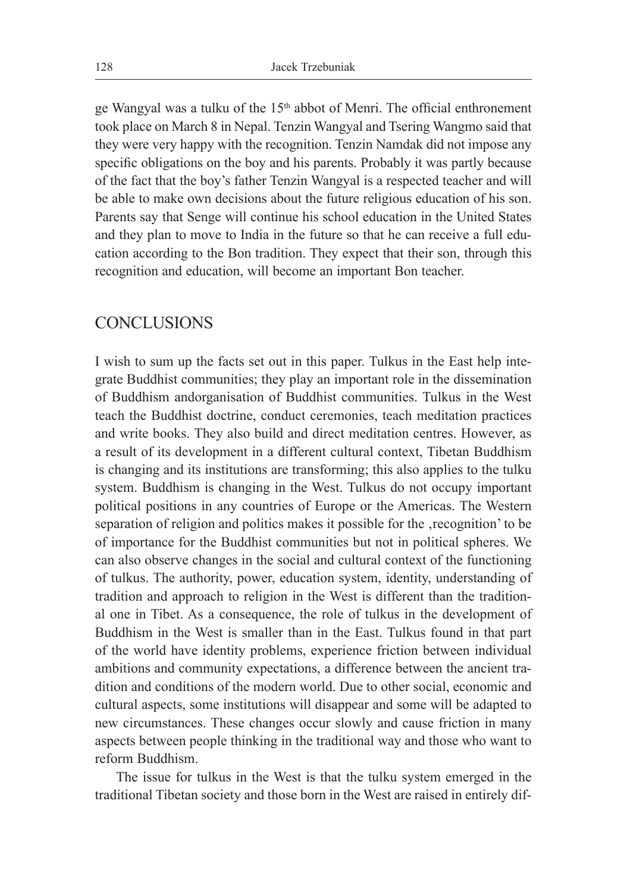ge Wangyal was a tulku of the 15th abbot of Menri. The official enthronement took place on March 8 in Nepal. Tenzin Wangyal and Tsering Wangmo said that they were very happy with the recognition. Tenzin Namdak did not impose any specific obligations on the boy and his parents. Probably it was partly because of the fact that the boy's father Tenzin Wangyal is a respected teacher and will be able to make own decisions about the future religious education of his son. Parents say that Senge will continue his school education in the United States and they plan to move to India in the future so that he can receive a full education according to the Bon tradition. They expect that their son, through this recognition and education, will become an important Bon teacher.

### **CONCLUSIONS**

I wish to sum up the facts set out in this paper. Tulkus in the East help integrate Buddhist communities; they play an important role in the dissemination of Buddhism andorganisation of Buddhist communities. Tulkus in the West teach the Buddhist doctrine, conduct ceremonies, teach meditation practices and write books. They also build and direct meditation centres. However, as a result of its development in a different cultural context, Tibetan Buddhism is changing and its institutions are transforming; this also applies to the tulku system. Buddhism is changing in the West. Tulkus do not occupy important political positions in any countries of Europe or the Americas. The Western separation of religion and politics makes it possible for the 'recognition' to be of importance for the Buddhist communities but not in political spheres. We can also observe changes in the social and cultural context of the functioning of tulkus. The authority, power, education system, identity, understanding of tradition and approach to religion in the West is different than the traditional one in Tibet. As a consequence, the role of tulkus in the development of Buddhism in the West is smaller than in the East. Tulkus found in that part of the world have identity problems, experience friction between individual ambitions and community expectations, a difference between the ancient tradition and conditions of the modern world. Due to other social, economic and cultural aspects, some institutions will disappear and some will be adapted to new circumstances. These changes occur slowly and cause friction in many aspects between people thinking in the traditional way and those who want to reform Buddhism.

The issue for tulkus in the West is that the tulku system emerged in the traditional Tibetan society and those born in the West are raised in entirely dif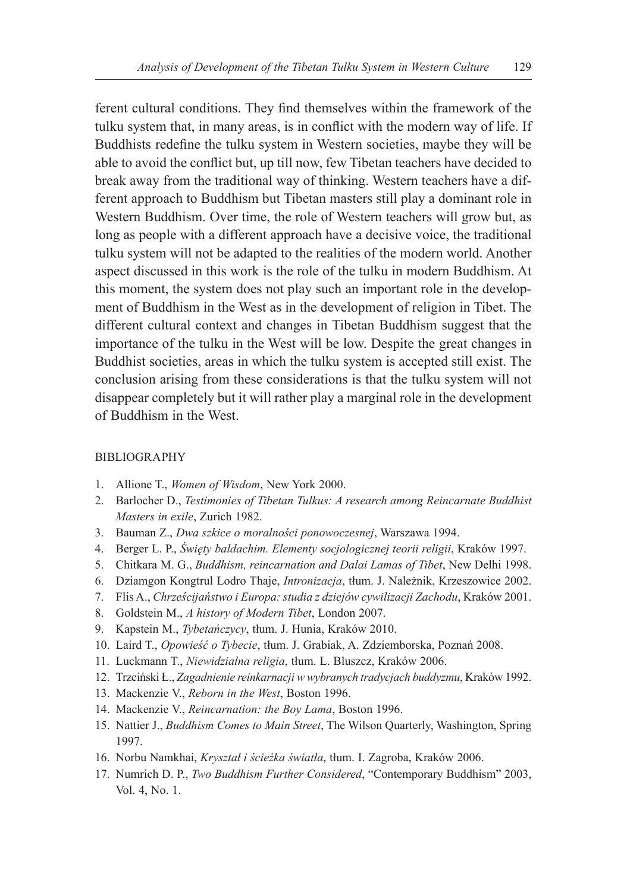ferent cultural conditions. They find themselves within the framework of the tulku system that, in many areas, is in conflict with the modern way of life. If Buddhists redefine the tulku system in Western societies, maybe they will be able to avoid the conflict but, up till now, few Tibetan teachers have decided to break away from the traditional way of thinking. Western teachers have a different approach to Buddhism but Tibetan masters still play a dominant role in Western Buddhism. Over time, the role of Western teachers will grow but, as long as people with a different approach have a decisive voice, the traditional tulku system will not be adapted to the realities of the modern world. Another aspect discussed in this work is the role of the tulku in modern Buddhism. At this moment, the system does not play such an important role in the development of Buddhism in the West as in the development of religion in Tibet. The different cultural context and changes in Tibetan Buddhism suggest that the importance of the tulku in the West will be low. Despite the great changes in Buddhist societies, areas in which the tulku system is accepted still exist. The conclusion arising from these considerations is that the tulku system will not disappear completely but it will rather play a marginal role in the development of Buddhism in the West.

#### BIBLIOGRAPHY

- 1. Allione T., *Women of Wisdom*, New York 2000.
- 2. Barlocher D., *Testimonies of Tibetan Tulkus: A research among Reincarnate Buddhist Masters in exile*, Zurich 1982.
- 3. Bauman Z., *Dwa szkice o moralności ponowoczesnej*, Warszawa 1994.
- 4. Berger L. P., *Święty baldachim. Elementy socjologicznej teorii religii*, Kraków 1997.
- 5. Chitkara M. G., *Buddhism, reincarnation and Dalai Lamas of Tibet*, New Delhi 1998.
- 6. Dziamgon Kongtrul Lodro Thaje, *Intronizacja*, tłum. J. Należnik, Krzeszowice 2002.
- 7. Flis A., *Chrześcijaństwo i Europa: studia z dziejów cywilizacji Zachodu*, Kraków 2001.
- 8. Goldstein M., *A history of Modern Tibet*, London 2007.
- 9. Kapstein M., *Tybetańczycy*, tłum. J. Hunia, Kraków 2010.
- 10. Laird T., *Opowieść o Tybecie*, tłum. J. Grabiak, A. Zdziemborska, Poznań 2008.
- 11. Luckmann T., *Niewidzialna religia*, tłum. L. Bluszcz, Kraków 2006.
- 12. Trzciński Ł., *Zagadnienie reinkarnacji w wybranych tradycjach buddyzmu*, Kraków 1992.
- 13. Mackenzie V., *Reborn in the West*, Boston 1996.
- 14. Mackenzie V., *Reincarnation: the Boy Lama*, Boston 1996.
- 15. Nattier J., *Buddhism Comes to Main Street*, The Wilson Quarterly, Washington, Spring 1997.
- 16. Norbu Namkhai, *Kryształ i ścieżka światła*, tłum. I. Zagroba, Kraków 2006.
- 17. Numrich D. P., *Two Buddhism Further Considered*, "Contemporary Buddhism" 2003, Vol. 4, No. 1.